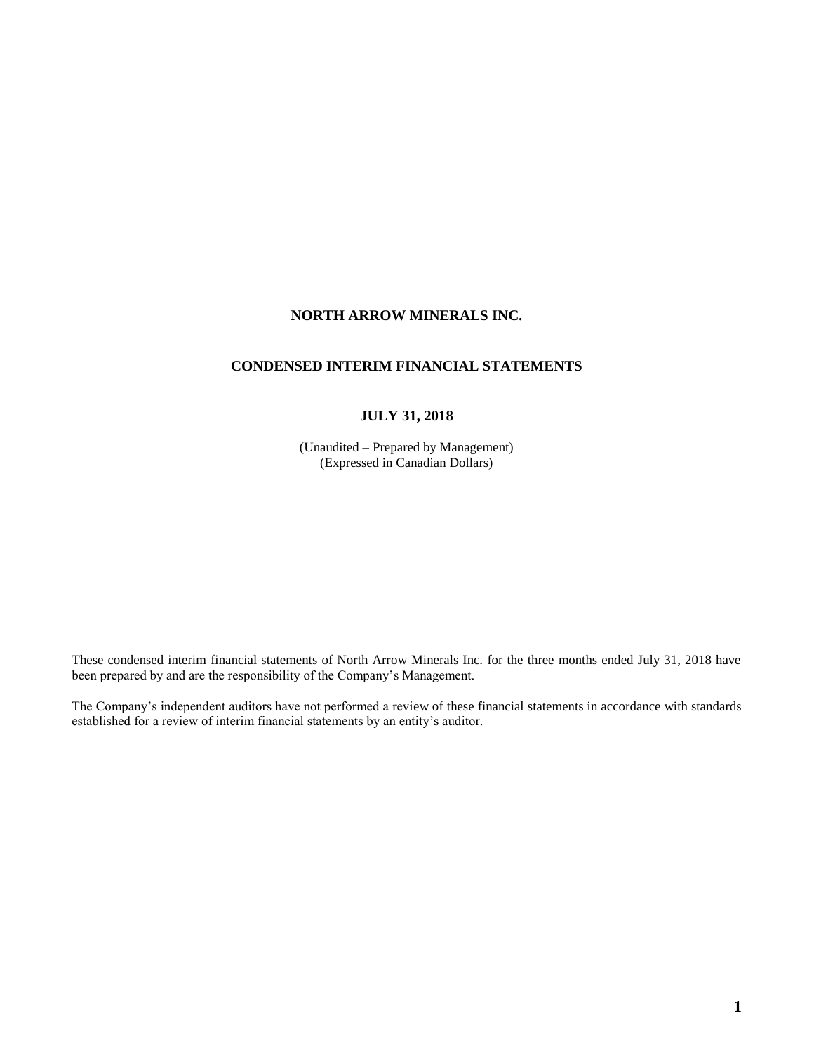# **NORTH ARROW MINERALS INC.**

# **CONDENSED INTERIM FINANCIAL STATEMENTS**

# **JULY 31, 2018**

(Unaudited – Prepared by Management) (Expressed in Canadian Dollars)

These condensed interim financial statements of North Arrow Minerals Inc. for the three months ended July 31, 2018 have been prepared by and are the responsibility of the Company's Management.

The Company's independent auditors have not performed a review of these financial statements in accordance with standards established for a review of interim financial statements by an entity's auditor.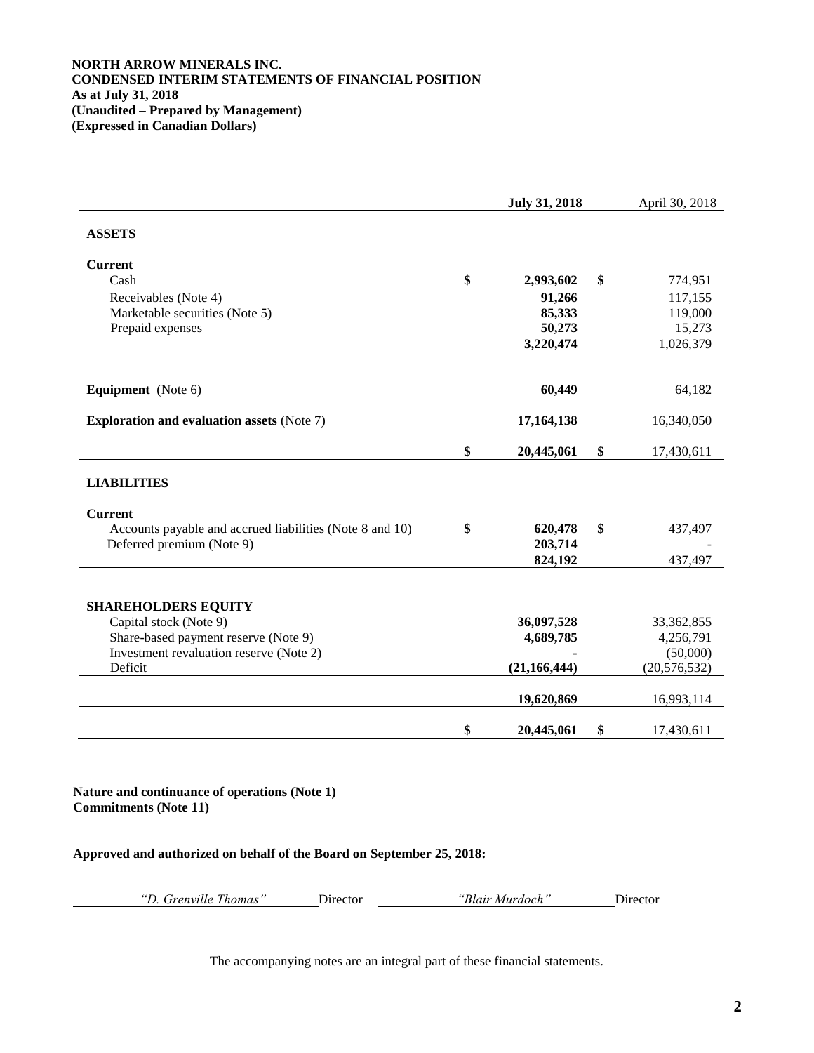## **NORTH ARROW MINERALS INC. CONDENSED INTERIM STATEMENTS OF FINANCIAL POSITION As at July 31, 2018 (Unaudited – Prepared by Management) (Expressed in Canadian Dollars)**

|                                                          | <b>July 31, 2018</b> | April 30, 2018   |
|----------------------------------------------------------|----------------------|------------------|
| <b>ASSETS</b>                                            |                      |                  |
| <b>Current</b>                                           |                      |                  |
| Cash                                                     | \$<br>2,993,602      | \$<br>774,951    |
| Receivables (Note 4)                                     | 91,266               | 117,155          |
| Marketable securities (Note 5)                           | 85,333               | 119,000          |
| Prepaid expenses                                         | 50,273               | 15,273           |
|                                                          | 3,220,474            | 1,026,379        |
| <b>Equipment</b> (Note 6)                                | 60,449               | 64,182           |
| <b>Exploration and evaluation assets (Note 7)</b>        | 17,164,138           | 16,340,050       |
|                                                          | \$<br>20,445,061     | \$<br>17,430,611 |
| <b>LIABILITIES</b>                                       |                      |                  |
| <b>Current</b>                                           |                      |                  |
| Accounts payable and accrued liabilities (Note 8 and 10) | \$<br>620,478        | \$<br>437,497    |
| Deferred premium (Note 9)                                | 203,714<br>824,192   | 437,497          |
|                                                          |                      |                  |
| <b>SHAREHOLDERS EQUITY</b>                               |                      |                  |
| Capital stock (Note 9)                                   | 36,097,528           | 33,362,855       |
| Share-based payment reserve (Note 9)                     | 4,689,785            | 4,256,791        |
| Investment revaluation reserve (Note 2)                  |                      | (50,000)         |
| Deficit                                                  | (21, 166, 444)       | (20, 576, 532)   |
|                                                          | 19,620,869           | 16,993,114       |
|                                                          | \$<br>20,445,061     | \$<br>17,430,611 |

**Nature and continuance of operations (Note 1) Commitments (Note 11)**

## **Approved and authorized on behalf of the Board on September 25, 2018:**

| "D. Grenville Thomas" | Director | "Blair |
|-----------------------|----------|--------|
|-----------------------|----------|--------|

*"D. Grenville Thomas"* Director *"Blair Murdoch"* Director

The accompanying notes are an integral part of these financial statements.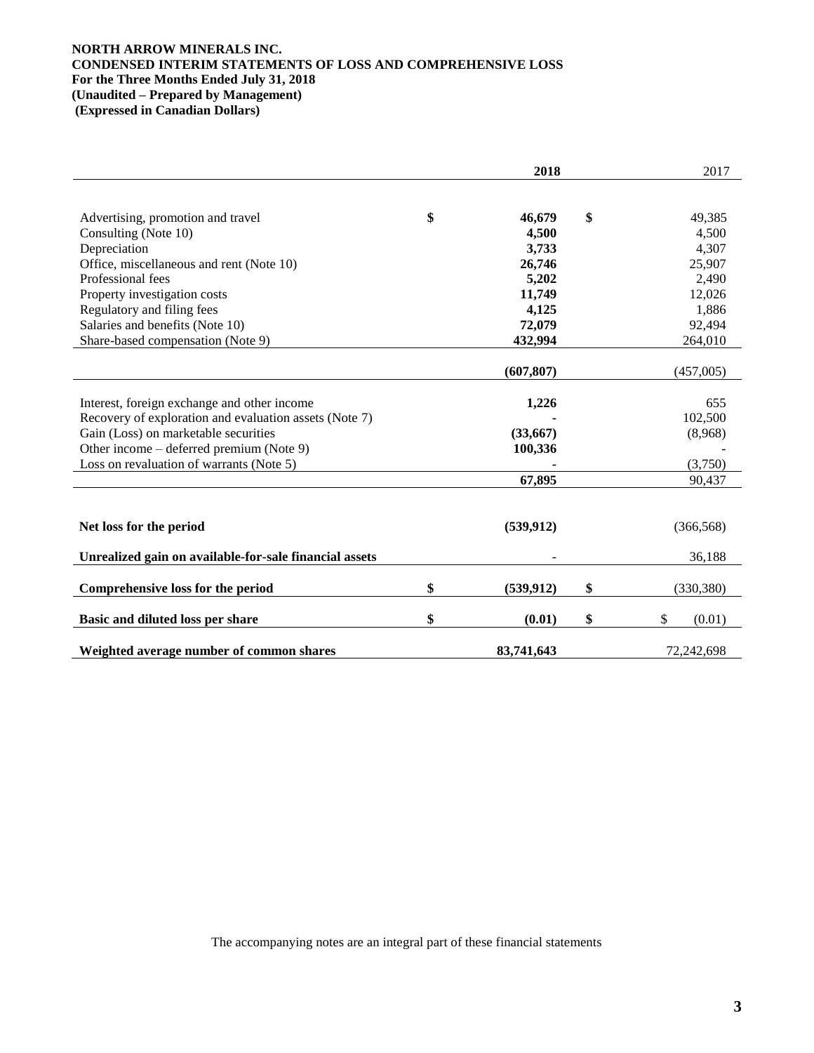## **NORTH ARROW MINERALS INC. CONDENSED INTERIM STATEMENTS OF LOSS AND COMPREHENSIVE LOSS For the Three Months Ended July 31, 2018 (Unaudited – Prepared by Management) (Expressed in Canadian Dollars)**

|                                                        | 2018             | 2017               |
|--------------------------------------------------------|------------------|--------------------|
|                                                        |                  |                    |
| Advertising, promotion and travel                      | \$<br>46,679     | \$<br>49,385       |
| Consulting (Note 10)                                   | 4,500            | 4,500              |
| Depreciation                                           | 3,733            | 4,307              |
| Office, miscellaneous and rent (Note 10)               | 26,746           | 25,907             |
| Professional fees                                      | 5,202            | 2,490              |
|                                                        | 11,749           |                    |
| Property investigation costs                           |                  | 12,026             |
| Regulatory and filing fees                             | 4,125            | 1,886              |
| Salaries and benefits (Note 10)                        | 72,079           | 92,494             |
| Share-based compensation (Note 9)                      | 432,994          | 264,010            |
|                                                        |                  |                    |
|                                                        | (607, 807)       | (457,005)          |
| Interest, foreign exchange and other income            |                  | 655                |
| Recovery of exploration and evaluation assets (Note 7) | 1,226            | 102,500            |
|                                                        |                  |                    |
| Gain (Loss) on marketable securities                   | (33,667)         | (8,968)            |
| Other income – deferred premium (Note 9)               | 100,336          |                    |
| Loss on revaluation of warrants (Note 5)               |                  | (3,750)            |
|                                                        | 67,895           | 90,437             |
|                                                        |                  |                    |
|                                                        |                  |                    |
| Net loss for the period                                | (539, 912)       | (366, 568)         |
| Unrealized gain on available-for-sale financial assets |                  | 36,188             |
|                                                        |                  |                    |
| Comprehensive loss for the period                      | \$<br>(539, 912) | \$<br>(330, 380)   |
|                                                        |                  |                    |
| Basic and diluted loss per share                       | \$<br>(0.01)     | \$<br>\$<br>(0.01) |
| Weighted average number of common shares               | 83,741,643       | 72,242,698         |

The accompanying notes are an integral part of these financial statements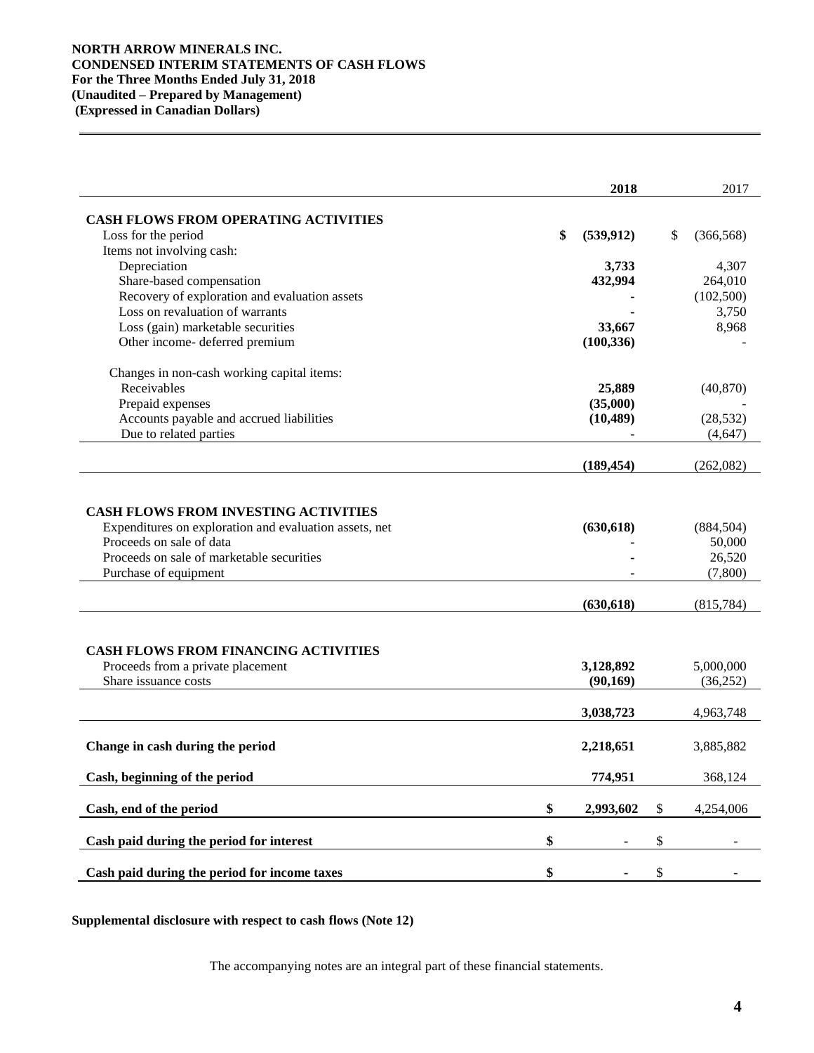## **NORTH ARROW MINERALS INC. CONDENSED INTERIM STATEMENTS OF CASH FLOWS For the Three Months Ended July 31, 2018 (Unaudited – Prepared by Management) (Expressed in Canadian Dollars)**

|                                                                                                                                                                                                                                                                                                                     | 2018                                               | 2017                                                                              |
|---------------------------------------------------------------------------------------------------------------------------------------------------------------------------------------------------------------------------------------------------------------------------------------------------------------------|----------------------------------------------------|-----------------------------------------------------------------------------------|
| <b>CASH FLOWS FROM OPERATING ACTIVITIES</b>                                                                                                                                                                                                                                                                         |                                                    |                                                                                   |
| Loss for the period                                                                                                                                                                                                                                                                                                 | \$<br>(539, 912)                                   | \$<br>(366, 568)                                                                  |
| Items not involving cash:                                                                                                                                                                                                                                                                                           |                                                    |                                                                                   |
| Depreciation                                                                                                                                                                                                                                                                                                        | 3,733                                              | 4,307                                                                             |
| Share-based compensation                                                                                                                                                                                                                                                                                            | 432,994                                            | 264,010                                                                           |
| Recovery of exploration and evaluation assets                                                                                                                                                                                                                                                                       |                                                    | (102,500)                                                                         |
| Loss on revaluation of warrants                                                                                                                                                                                                                                                                                     |                                                    | 3,750                                                                             |
|                                                                                                                                                                                                                                                                                                                     |                                                    |                                                                                   |
| Loss (gain) marketable securities                                                                                                                                                                                                                                                                                   | 33,667                                             | 8,968                                                                             |
| Other income- deferred premium                                                                                                                                                                                                                                                                                      | (100, 336)                                         |                                                                                   |
| Changes in non-cash working capital items:                                                                                                                                                                                                                                                                          |                                                    |                                                                                   |
| Receivables                                                                                                                                                                                                                                                                                                         | 25,889                                             | (40, 870)                                                                         |
| Prepaid expenses                                                                                                                                                                                                                                                                                                    | (35,000)                                           |                                                                                   |
| Accounts payable and accrued liabilities                                                                                                                                                                                                                                                                            | (10, 489)                                          | (28, 532)                                                                         |
| Due to related parties                                                                                                                                                                                                                                                                                              |                                                    | (4,647)                                                                           |
|                                                                                                                                                                                                                                                                                                                     | (189, 454)                                         | (262,082)                                                                         |
| <b>CASH FLOWS FROM INVESTING ACTIVITIES</b><br>Expenditures on exploration and evaluation assets, net<br>Proceeds on sale of data<br>Proceeds on sale of marketable securities<br>Purchase of equipment<br><b>CASH FLOWS FROM FINANCING ACTIVITIES</b><br>Proceeds from a private placement<br>Share issuance costs | (630, 618)<br>(630, 618)<br>3,128,892<br>(90, 169) | (884, 504)<br>50,000<br>26,520<br>(7,800)<br>(815, 784)<br>5,000,000<br>(36, 252) |
|                                                                                                                                                                                                                                                                                                                     |                                                    |                                                                                   |
|                                                                                                                                                                                                                                                                                                                     | 3,038,723                                          | 4,963,748                                                                         |
| Change in cash during the period                                                                                                                                                                                                                                                                                    | 2,218,651                                          | 3,885,882                                                                         |
| Cash, beginning of the period                                                                                                                                                                                                                                                                                       | 774,951                                            | 368,124                                                                           |
| Cash, end of the period                                                                                                                                                                                                                                                                                             | \$<br>2,993,602                                    | \$<br>4,254,006                                                                   |
| Cash paid during the period for interest                                                                                                                                                                                                                                                                            | \$<br>-                                            | \$                                                                                |
|                                                                                                                                                                                                                                                                                                                     |                                                    |                                                                                   |
| Cash paid during the period for income taxes                                                                                                                                                                                                                                                                        | \$                                                 | \$                                                                                |

**Supplemental disclosure with respect to cash flows (Note 12)**

The accompanying notes are an integral part of these financial statements.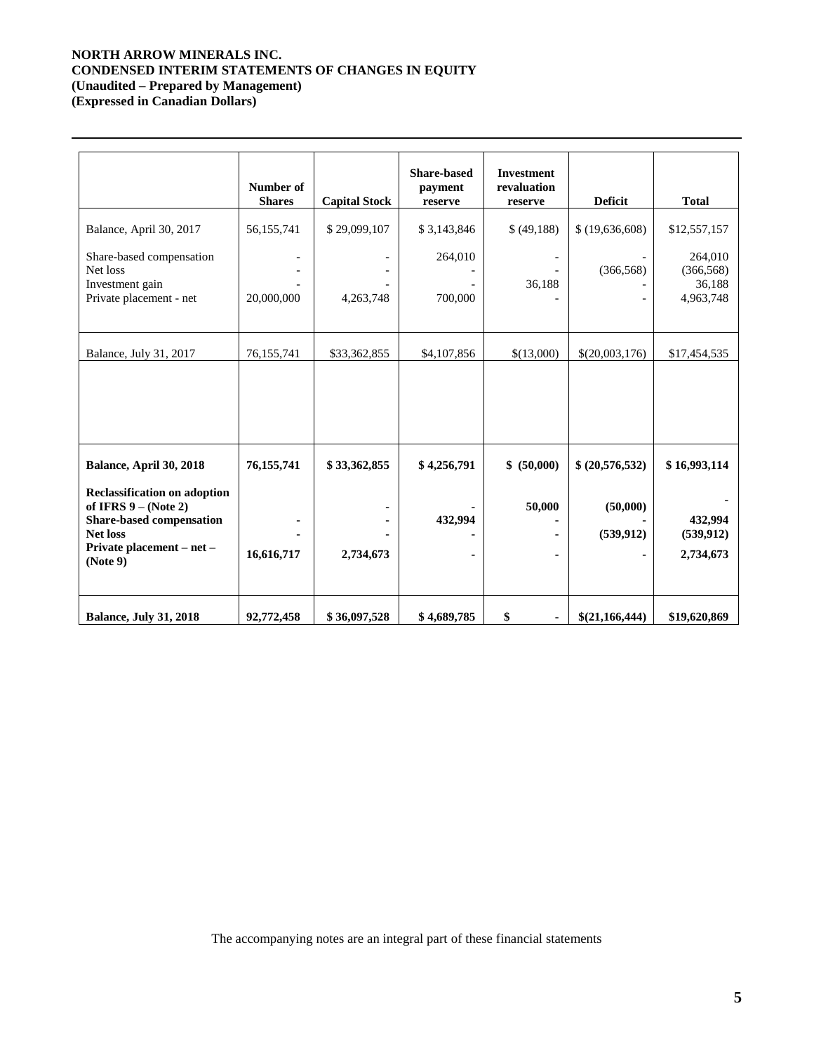# **NORTH ARROW MINERALS INC. CONDENSED INTERIM STATEMENTS OF CHANGES IN EQUITY (Unaudited – Prepared by Management)**

**(Expressed in Canadian Dollars)**

|                                                                                                                                                                                         | Number of<br><b>Shares</b> | <b>Capital Stock</b>      | <b>Share-based</b><br>payment<br>reserve | <b>Investment</b><br>revaluation<br>reserve | <b>Deficit</b>                            | <b>Total</b>                                                 |
|-----------------------------------------------------------------------------------------------------------------------------------------------------------------------------------------|----------------------------|---------------------------|------------------------------------------|---------------------------------------------|-------------------------------------------|--------------------------------------------------------------|
| Balance, April 30, 2017<br>Share-based compensation<br>Net loss<br>Investment gain<br>Private placement - net                                                                           | 56,155,741<br>20,000,000   | \$29,099,107<br>4,263,748 | \$3,143,846<br>264,010<br>700,000        | \$(49,188)<br>36,188                        | \$(19,636,608)<br>(366, 568)              | \$12,557,157<br>264,010<br>(366, 568)<br>36,188<br>4,963,748 |
| Balance, July 31, 2017                                                                                                                                                                  | 76,155,741                 | \$33,362,855              | \$4,107,856                              | \$(13,000)                                  | \$(20,003,176)                            | \$17,454,535                                                 |
| Balance, April 30, 2018<br><b>Reclassification on adoption</b><br>of IFRS $9 - (Note 2)$<br><b>Share-based compensation</b><br><b>Net loss</b><br>Private placement – net –<br>(Note 9) | 76,155,741<br>16,616,717   | \$33,362,855<br>2,734,673 | \$4,256,791<br>432,994                   | \$ (50,000)<br>50,000<br>۰                  | \$ (20,576,532)<br>(50,000)<br>(539, 912) | \$16,993,114<br>432,994<br>(539, 912)<br>2,734,673           |
| <b>Balance, July 31, 2018</b>                                                                                                                                                           | 92,772,458                 | \$36,097,528              | \$4,689,785                              | \$                                          | \$(21,166,444)                            | \$19,620,869                                                 |

The accompanying notes are an integral part of these financial statements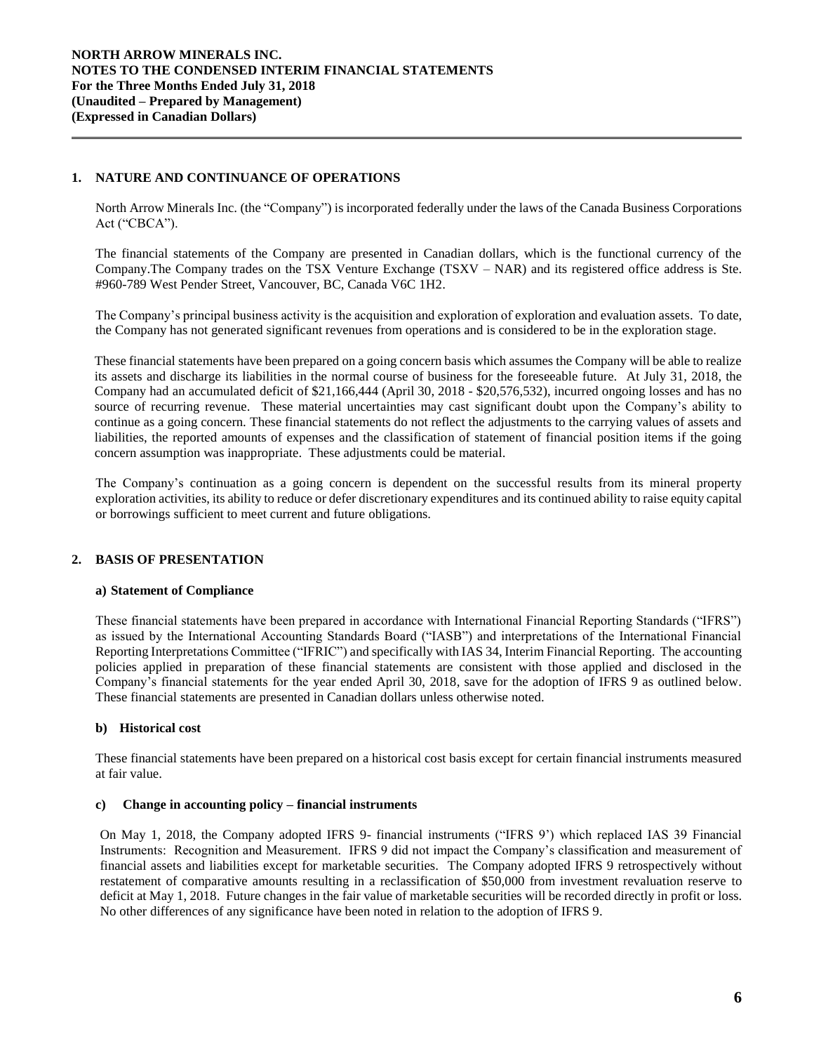## **1. NATURE AND CONTINUANCE OF OPERATIONS**

North Arrow Minerals Inc. (the "Company") is incorporated federally under the laws of the Canada Business Corporations Act ("CBCA").

The financial statements of the Company are presented in Canadian dollars, which is the functional currency of the Company.The Company trades on the TSX Venture Exchange (TSXV – NAR) and its registered office address is Ste. #960-789 West Pender Street, Vancouver, BC, Canada V6C 1H2.

The Company's principal business activity is the acquisition and exploration of exploration and evaluation assets. To date, the Company has not generated significant revenues from operations and is considered to be in the exploration stage.

These financial statements have been prepared on a going concern basis which assumes the Company will be able to realize its assets and discharge its liabilities in the normal course of business for the foreseeable future. At July 31, 2018, the Company had an accumulated deficit of \$21,166,444 (April 30, 2018 - \$20,576,532), incurred ongoing losses and has no source of recurring revenue. These material uncertainties may cast significant doubt upon the Company's ability to continue as a going concern. These financial statements do not reflect the adjustments to the carrying values of assets and liabilities, the reported amounts of expenses and the classification of statement of financial position items if the going concern assumption was inappropriate. These adjustments could be material.

The Company's continuation as a going concern is dependent on the successful results from its mineral property exploration activities, its ability to reduce or defer discretionary expenditures and its continued ability to raise equity capital or borrowings sufficient to meet current and future obligations.

# **2. BASIS OF PRESENTATION**

## **a) Statement of Compliance**

These financial statements have been prepared in accordance with International Financial Reporting Standards ("IFRS") as issued by the International Accounting Standards Board ("IASB") and interpretations of the International Financial Reporting Interpretations Committee ("IFRIC") and specifically with IAS 34, Interim Financial Reporting. The accounting policies applied in preparation of these financial statements are consistent with those applied and disclosed in the Company's financial statements for the year ended April 30, 2018, save for the adoption of IFRS 9 as outlined below. These financial statements are presented in Canadian dollars unless otherwise noted.

## **b) Historical cost**

These financial statements have been prepared on a historical cost basis except for certain financial instruments measured at fair value.

#### **c) Change in accounting policy – financial instruments**

On May 1, 2018, the Company adopted IFRS 9- financial instruments ("IFRS 9') which replaced IAS 39 Financial Instruments: Recognition and Measurement. IFRS 9 did not impact the Company's classification and measurement of financial assets and liabilities except for marketable securities. The Company adopted IFRS 9 retrospectively without restatement of comparative amounts resulting in a reclassification of \$50,000 from investment revaluation reserve to deficit at May 1, 2018. Future changes in the fair value of marketable securities will be recorded directly in profit or loss. No other differences of any significance have been noted in relation to the adoption of IFRS 9.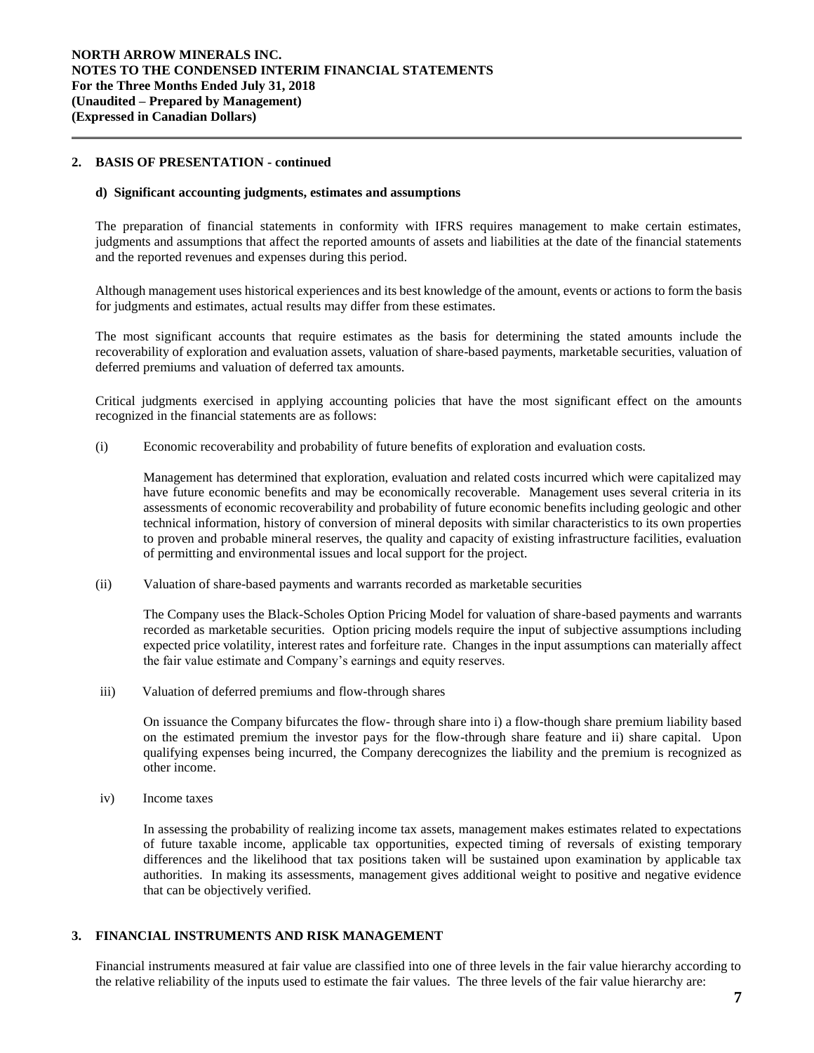## **2. BASIS OF PRESENTATION - continued**

#### **d) Significant accounting judgments, estimates and assumptions**

The preparation of financial statements in conformity with IFRS requires management to make certain estimates, judgments and assumptions that affect the reported amounts of assets and liabilities at the date of the financial statements and the reported revenues and expenses during this period.

Although management uses historical experiences and its best knowledge of the amount, events or actions to form the basis for judgments and estimates, actual results may differ from these estimates.

The most significant accounts that require estimates as the basis for determining the stated amounts include the recoverability of exploration and evaluation assets, valuation of share-based payments, marketable securities, valuation of deferred premiums and valuation of deferred tax amounts.

Critical judgments exercised in applying accounting policies that have the most significant effect on the amounts recognized in the financial statements are as follows:

(i) Economic recoverability and probability of future benefits of exploration and evaluation costs*.* 

Management has determined that exploration, evaluation and related costs incurred which were capitalized may have future economic benefits and may be economically recoverable. Management uses several criteria in its assessments of economic recoverability and probability of future economic benefits including geologic and other technical information, history of conversion of mineral deposits with similar characteristics to its own properties to proven and probable mineral reserves, the quality and capacity of existing infrastructure facilities, evaluation of permitting and environmental issues and local support for the project.

(ii) Valuation of share-based payments and warrants recorded as marketable securities

The Company uses the Black-Scholes Option Pricing Model for valuation of share-based payments and warrants recorded as marketable securities. Option pricing models require the input of subjective assumptions including expected price volatility, interest rates and forfeiture rate. Changes in the input assumptions can materially affect the fair value estimate and Company's earnings and equity reserves.

iii) Valuation of deferred premiums and flow-through shares

On issuance the Company bifurcates the flow- through share into i) a flow-though share premium liability based on the estimated premium the investor pays for the flow-through share feature and ii) share capital. Upon qualifying expenses being incurred, the Company derecognizes the liability and the premium is recognized as other income.

iv) Income taxes

In assessing the probability of realizing income tax assets, management makes estimates related to expectations of future taxable income, applicable tax opportunities, expected timing of reversals of existing temporary differences and the likelihood that tax positions taken will be sustained upon examination by applicable tax authorities. In making its assessments, management gives additional weight to positive and negative evidence that can be objectively verified.

## **3. FINANCIAL INSTRUMENTS AND RISK MANAGEMENT**

Financial instruments measured at fair value are classified into one of three levels in the fair value hierarchy according to the relative reliability of the inputs used to estimate the fair values. The three levels of the fair value hierarchy are: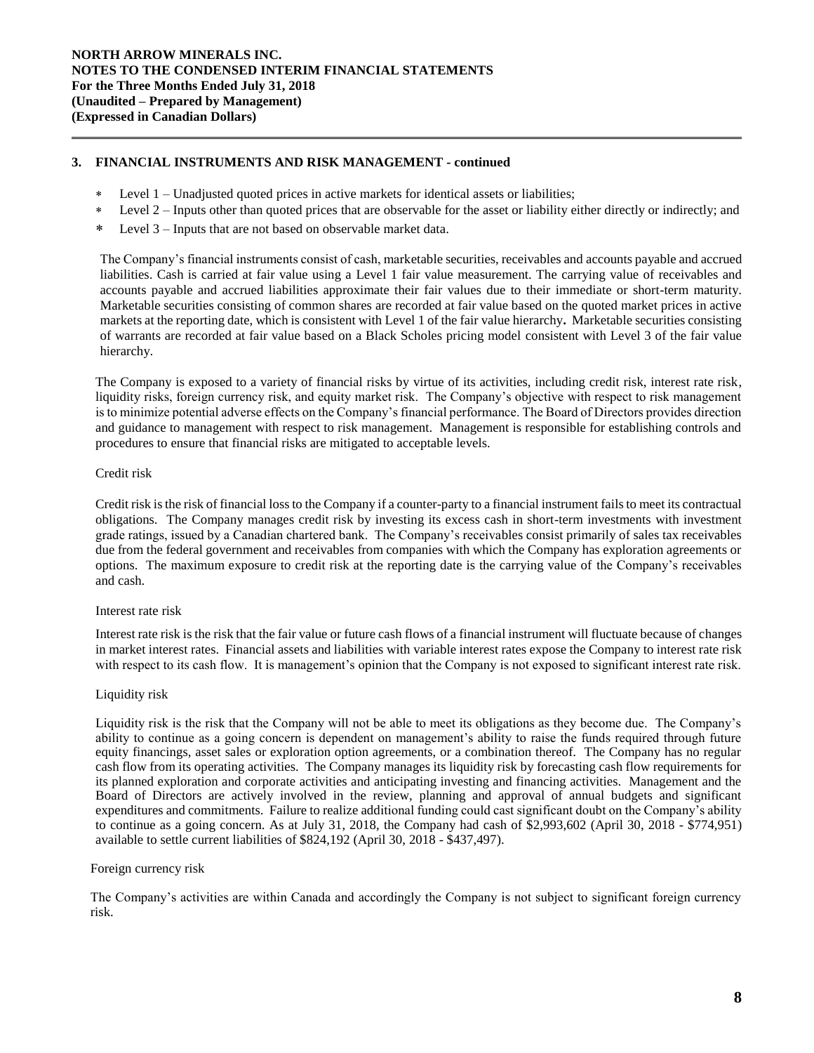## **3. FINANCIAL INSTRUMENTS AND RISK MANAGEMENT - continued**

- Level 1 Unadjusted quoted prices in active markets for identical assets or liabilities;
- Level 2 Inputs other than quoted prices that are observable for the asset or liability either directly or indirectly; and
- Level 3 Inputs that are not based on observable market data.

The Company's financial instruments consist of cash, marketable securities, receivables and accounts payable and accrued liabilities. Cash is carried at fair value using a Level 1 fair value measurement. The carrying value of receivables and accounts payable and accrued liabilities approximate their fair values due to their immediate or short-term maturity. Marketable securities consisting of common shares are recorded at fair value based on the quoted market prices in active markets at the reporting date, which is consistent with Level 1 of the fair value hierarchy**.** Marketable securities consisting of warrants are recorded at fair value based on a Black Scholes pricing model consistent with Level 3 of the fair value hierarchy.

The Company is exposed to a variety of financial risks by virtue of its activities, including credit risk, interest rate risk, liquidity risks, foreign currency risk, and equity market risk. The Company's objective with respect to risk management is to minimize potential adverse effects on the Company's financial performance. The Board of Directors provides direction and guidance to management with respect to risk management. Management is responsible for establishing controls and procedures to ensure that financial risks are mitigated to acceptable levels.

## Credit risk

Credit risk is the risk of financial loss to the Company if a counter-party to a financial instrument fails to meet its contractual obligations. The Company manages credit risk by investing its excess cash in short-term investments with investment grade ratings, issued by a Canadian chartered bank. The Company's receivables consist primarily of sales tax receivables due from the federal government and receivables from companies with which the Company has exploration agreements or options. The maximum exposure to credit risk at the reporting date is the carrying value of the Company's receivables and cash.

#### Interest rate risk

Interest rate risk is the risk that the fair value or future cash flows of a financial instrument will fluctuate because of changes in market interest rates. Financial assets and liabilities with variable interest rates expose the Company to interest rate risk with respect to its cash flow. It is management's opinion that the Company is not exposed to significant interest rate risk.

#### Liquidity risk

Liquidity risk is the risk that the Company will not be able to meet its obligations as they become due. The Company's ability to continue as a going concern is dependent on management's ability to raise the funds required through future equity financings, asset sales or exploration option agreements, or a combination thereof. The Company has no regular cash flow from its operating activities. The Company manages its liquidity risk by forecasting cash flow requirements for its planned exploration and corporate activities and anticipating investing and financing activities. Management and the Board of Directors are actively involved in the review, planning and approval of annual budgets and significant expenditures and commitments. Failure to realize additional funding could cast significant doubt on the Company's ability to continue as a going concern. As at July 31, 2018, the Company had cash of \$2,993,602 (April 30, 2018 - \$774,951) available to settle current liabilities of \$824,192 (April 30, 2018 - \$437,497).

#### Foreign currency risk

The Company's activities are within Canada and accordingly the Company is not subject to significant foreign currency risk.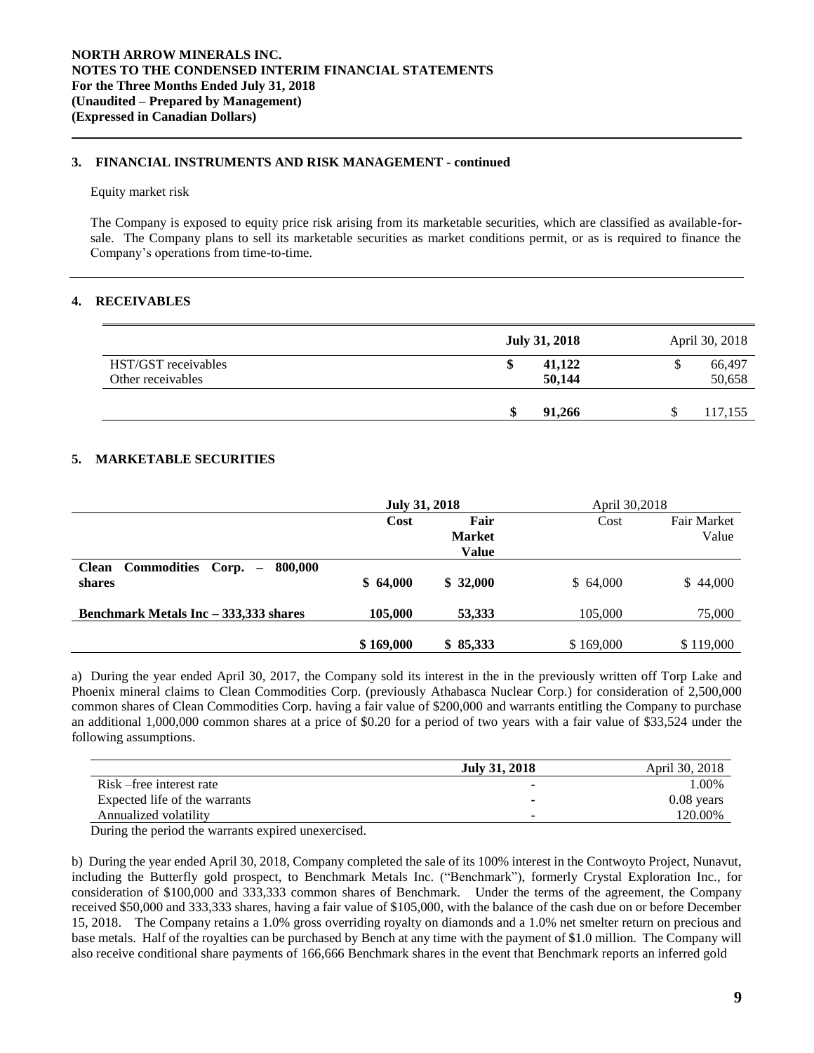## **3. FINANCIAL INSTRUMENTS AND RISK MANAGEMENT - continued**

#### Equity market risk

The Company is exposed to equity price risk arising from its marketable securities, which are classified as available-forsale. The Company plans to sell its marketable securities as market conditions permit, or as is required to finance the Company's operations from time-to-time.

## **4. RECEIVABLES**

|                                          | <b>July 31, 2018</b>   |   | April 30, 2018   |
|------------------------------------------|------------------------|---|------------------|
| HST/GST receivables<br>Other receivables | 41,122<br>۰D<br>50,144 | ◡ | 66,497<br>50,658 |
|                                          | 91.266                 |   | 117,155          |

## **5. MARKETABLE SECURITIES**

|                                                          | <b>July 31, 2018</b> |                                       | April 30,2018 |                             |
|----------------------------------------------------------|----------------------|---------------------------------------|---------------|-----------------------------|
|                                                          | Cost                 | Fair<br><b>Market</b><br><b>Value</b> | Cost          | <b>Fair Market</b><br>Value |
| Commodities Corp. -<br><b>Clean</b><br>800.000<br>shares | \$64,000             | \$32,000                              | \$64,000      | \$44,000                    |
| Benchmark Metals Inc – 333,333 shares                    | 105,000              | 53,333                                | 105,000       | 75,000                      |
|                                                          | \$169,000            | \$85,333                              | \$169,000     | \$119,000                   |

a) During the year ended April 30, 2017, the Company sold its interest in the in the previously written off Torp Lake and Phoenix mineral claims to Clean Commodities Corp. (previously Athabasca Nuclear Corp.) for consideration of 2,500,000 common shares of Clean Commodities Corp. having a fair value of \$200,000 and warrants entitling the Company to purchase an additional 1,000,000 common shares at a price of \$0.20 for a period of two years with a fair value of \$33,524 under the following assumptions.

|                               | <b>July 31, 2018</b> | April 30, 2018 |
|-------------------------------|----------------------|----------------|
| Risk – free interest rate     |                      | $00\%$         |
| Expected life of the warrants |                      | $0.08$ years   |
| Annualized volatility         |                      | 120.00%        |

During the period the warrants expired unexercised.

b) During the year ended April 30, 2018, Company completed the sale of its 100% interest in the Contwoyto Project, Nunavut, including the Butterfly gold prospect, to Benchmark Metals Inc. ("Benchmark"), formerly Crystal Exploration Inc., for consideration of \$100,000 and 333,333 common shares of Benchmark. Under the terms of the agreement, the Company received \$50,000 and 333,333 shares, having a fair value of \$105,000, with the balance of the cash due on or before December 15, 2018. The Company retains a 1.0% gross overriding royalty on diamonds and a 1.0% net smelter return on precious and base metals. Half of the royalties can be purchased by Bench at any time with the payment of \$1.0 million. The Company will also receive conditional share payments of 166,666 Benchmark shares in the event that Benchmark reports an inferred gold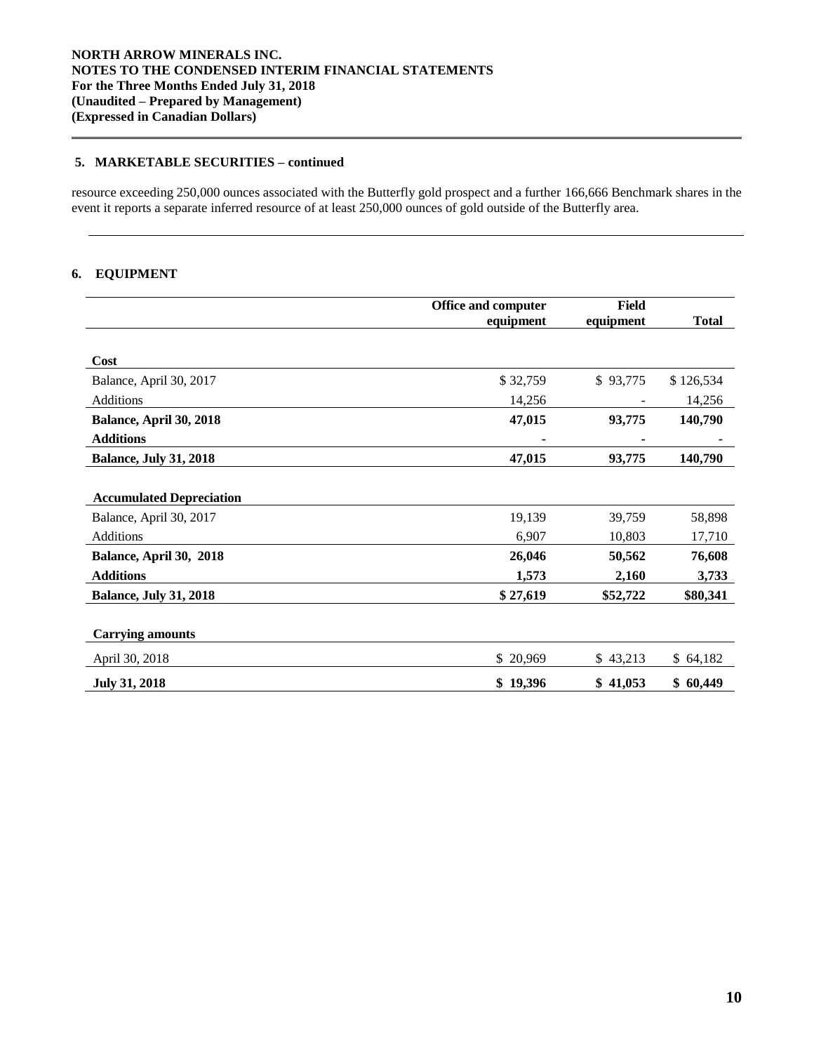## **5. MARKETABLE SECURITIES – continued**

resource exceeding 250,000 ounces associated with the Butterfly gold prospect and a further 166,666 Benchmark shares in the event it reports a separate inferred resource of at least 250,000 ounces of gold outside of the Butterfly area.

## **6. EQUIPMENT**

| <b>Office and computer</b> | <b>Field</b> |              |  |
|----------------------------|--------------|--------------|--|
| equipment                  |              | <b>Total</b> |  |
|                            |              |              |  |
|                            |              |              |  |
| \$32,759                   | \$93,775     | \$126,534    |  |
| 14,256                     |              | 14,256       |  |
| 47,015                     | 93,775       | 140,790      |  |
|                            |              |              |  |
| 47,015                     | 93,775       | 140,790      |  |
|                            |              |              |  |
|                            |              |              |  |
| 19,139                     | 39,759       | 58,898       |  |
| 6,907                      | 10,803       | 17,710       |  |
| 26,046                     | 50,562       | 76,608       |  |
| 1,573                      | 2,160        | 3,733        |  |
| \$27,619                   | \$52,722     | \$80,341     |  |
|                            |              |              |  |
|                            |              |              |  |
| \$ 20,969                  | \$43,213     | \$64,182     |  |
| \$19,396                   | \$41,053     | \$60,449     |  |
|                            |              | equipment    |  |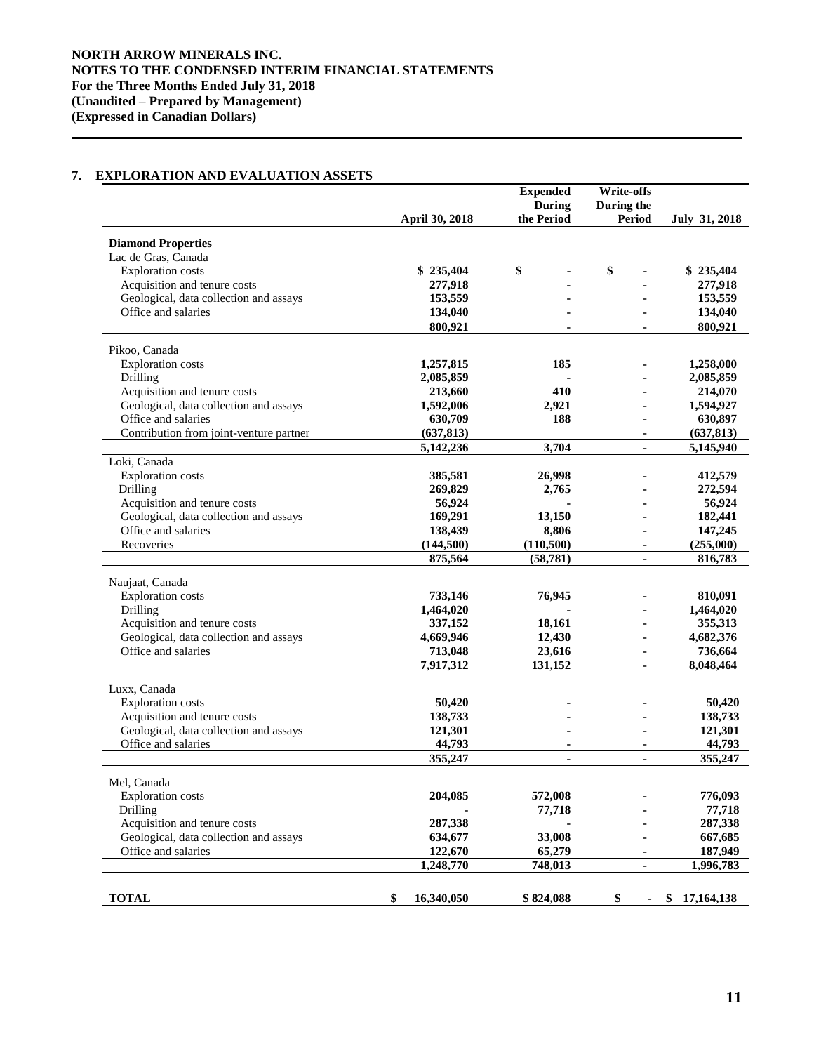# **7. EXPLORATION AND EVALUATION ASSETS**

|                                         |                  | <b>Expended</b> | Write-offs           |                      |
|-----------------------------------------|------------------|-----------------|----------------------|----------------------|
|                                         |                  | <b>During</b>   | During the           |                      |
|                                         | April 30, 2018   | the Period      | <b>Period</b>        | <b>July 31, 2018</b> |
|                                         |                  |                 |                      |                      |
| <b>Diamond Properties</b>               |                  |                 |                      |                      |
| Lac de Gras, Canada                     |                  |                 |                      |                      |
| <b>Exploration</b> costs                | \$235,404        | \$              | \$                   | \$235,404            |
| Acquisition and tenure costs            | 277,918          |                 |                      | 277,918              |
| Geological, data collection and assays  | 153,559          |                 |                      | 153,559              |
| Office and salaries                     | 134,040          |                 |                      | 134,040              |
|                                         | 800,921          |                 |                      | 800,921              |
| Pikoo, Canada                           |                  |                 |                      |                      |
| <b>Exploration</b> costs                | 1,257,815        | 185             |                      | 1,258,000            |
| Drilling                                | 2,085,859        |                 |                      | 2,085,859            |
| Acquisition and tenure costs            | 213,660          | 410             |                      | 214,070              |
| Geological, data collection and assays  | 1,592,006        | 2,921           |                      | 1,594,927            |
| Office and salaries                     | 630,709          | 188             | $\blacksquare$       | 630,897              |
| Contribution from joint-venture partner | (637, 813)       |                 |                      | (637, 813)           |
|                                         | 5,142,236        | 3,704           |                      | 5,145,940            |
| Loki, Canada                            |                  |                 |                      |                      |
| <b>Exploration</b> costs                | 385,581          | 26,998          |                      | 412,579              |
| Drilling                                | 269,829          | 2,765           |                      | 272,594              |
| Acquisition and tenure costs            | 56,924           |                 |                      | 56,924               |
| Geological, data collection and assays  | 169,291          | 13,150          |                      | 182,441              |
| Office and salaries                     | 138,439          | 8,806           |                      | 147,245              |
| Recoveries                              | (144,500)        | (110, 500)      |                      | (255,000)            |
|                                         | 875,564          | (58, 781)       |                      | 816,783              |
|                                         |                  |                 |                      |                      |
| Naujaat, Canada                         |                  |                 |                      |                      |
| Exploration costs                       | 733,146          | 76,945          |                      | 810,091              |
| Drilling                                | 1,464,020        |                 |                      | 1,464,020            |
| Acquisition and tenure costs            | 337,152          | 18,161          |                      | 355,313              |
| Geological, data collection and assays  | 4,669,946        | 12,430          |                      | 4,682,376            |
| Office and salaries                     | 713,048          | 23,616          | ٠                    | 736,664              |
|                                         | 7,917,312        | 131,152         |                      | 8,048,464            |
| Luxx, Canada                            |                  |                 |                      |                      |
| <b>Exploration</b> costs                | 50,420           |                 |                      | 50,420               |
| Acquisition and tenure costs            | 138,733          |                 |                      | 138,733              |
| Geological, data collection and assays  | 121,301          |                 |                      | 121,301              |
| Office and salaries                     | 44,793           |                 |                      | 44,793               |
|                                         | 355,247          | $\blacksquare$  | $\blacksquare$       | 355,247              |
|                                         |                  |                 |                      |                      |
| Mel, Canada                             |                  |                 |                      |                      |
| Exploration costs                       | 204,085          | 572,008         |                      | 776,093              |
| Drilling                                |                  | 77,718          |                      | 77,718               |
| Acquisition and tenure costs            | 287,338          |                 |                      | 287,338              |
| Geological, data collection and assays  | 634,677          | 33,008          |                      | 667,685              |
| Office and salaries                     | 122,670          | 65,279          |                      | 187,949              |
|                                         | 1,248,770        | 748,013         | ٠                    | 1,996,783            |
|                                         |                  |                 |                      |                      |
| <b>TOTAL</b>                            | 16,340,050<br>\$ | \$824,088       | \$<br>$\blacksquare$ | \$<br>17,164,138     |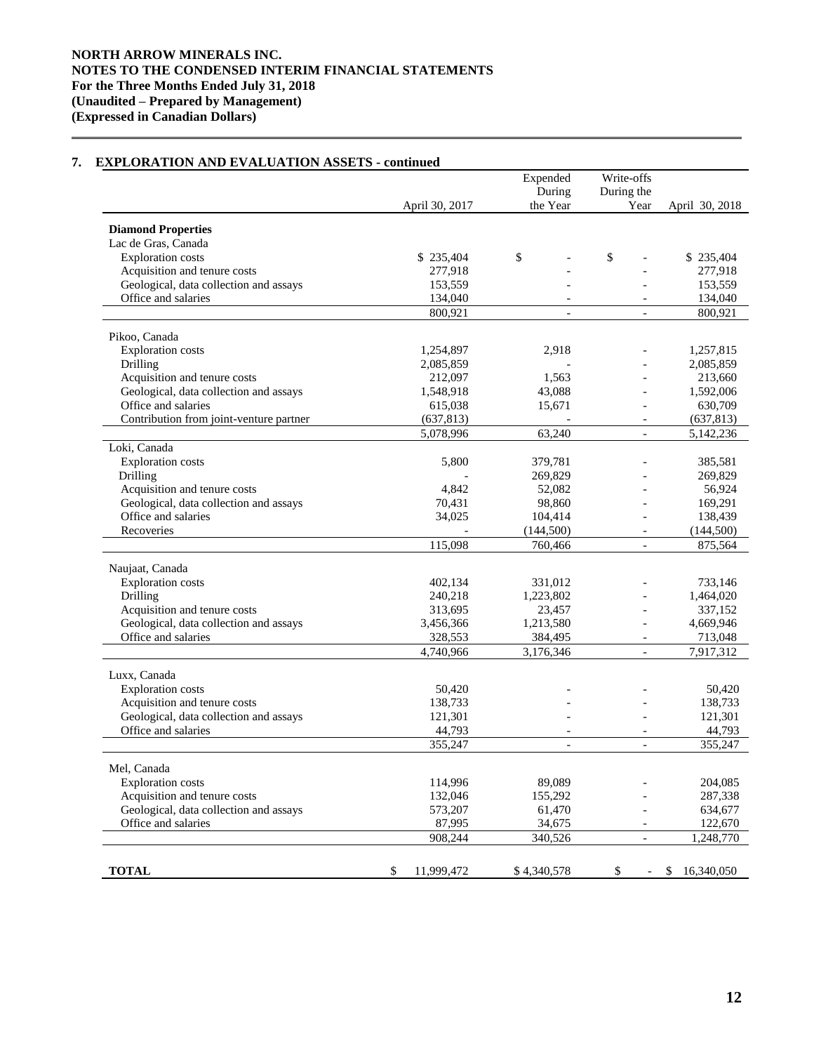#### April 30, 2017 Expended During the Year Write-offs During the Year April 30, 2018 **Diamond Properties** Lac de Gras, Canada Exploration costs <br>  $\frac{1}{277,918}$   $\frac{1}{277,918}$   $\frac{1}{277,918}$   $\frac{1}{277,918}$   $\frac{1}{277,918}$   $\frac{1}{277,918}$ Acquisition and tenure costs<br>
Geological, data collection and assays<br>  $153.559$ <br>  $153.559$ <br>  $-$ <br>  $153.559$ Geological, data collection and assays 153,559 - 153,559 Office and salaries 134,040 - 134,040 - 134,040 800,921 - 800,921 Pikoo, Canada Exploration costs 1,254,897 2,918 - 1,257,815 Drilling 2,085,859 - - 2,085,859 Acquisition and tenure costs 212,097 1,563 - 213,660 Geological, data collection and assays 1,548,918 43,088 - 1,592,006 Office and salaries 615,038 15,671 - 630,709 Contribution from joint-venture partner (637,813) - - (637,813) 5,078,996 63,240 - 5,142,236 Loki, Canada Exploration costs 5,800 379,781 - 385,581<br>Drilling 269,829 - 269,829 Drilling 269,829 - 269,829 - 269,829 - 269,829 - 269,829 - 269,829 - 269,829 Acquisition and tenure costs 4,842 52,082 - 56,924 Geological, data collection and assays  $70,431$  98,860 - 169,291 Office and salaries 34,025 104,414 - 138,439 Recoveries (144,500) (144,500) (144,500) 115,098 760,466 - 875,564 Naujaat, Canada Exploration costs 402,134 331,012 - 733,146 Drilling 240,218 1,223,802 - 1,464,020 Acquisition and tenure costs 313,695 23,457 - 337,152 Geological, data collection and assays 3,456,366 1,213,580 - 4,669,946 Office and salaries 328,553 384,495 - 713,048<br>4,740,966 3,176,346 - 7,917,312 4,740,966 Luxx, Canada Exploration costs 50,420 - 50,420<br>Acquisition and tenure costs 50,420<br>138,733 - 138,733 Acquisition and tenure costs<br>
Geological, data collection and assays<br>  $121,301$ <br>  $-$  121,301 Geological, data collection and assays 121,301 - 121,301 - 121,301 - 121,301 - 121,301 - 121,301 - 121,301 - 121,301 - 121,301 - 121,301 - 121,301 - 121,301 - 121,301 - 121,301 - 121,301 - 121,301 - 121,301 - 121,301 - 121 Office and salaries 355,247 - - 355,247 Mel, Canada Exploration costs 114,996 89,089 - 204,085 Acquisition and tenure costs 132,046 155,292 - 287,338 Geological, data collection and assays 573,207 61,470 634,677 61,470 Office and salaries 87,995 34,675 - 122,670 908,244 340,526 - 1,248,770 **TOTAL** 5 11,999,472 \$ 4,340,578 \$ - \$ 16,340,050

## **7. EXPLORATION AND EVALUATION ASSETS - continued**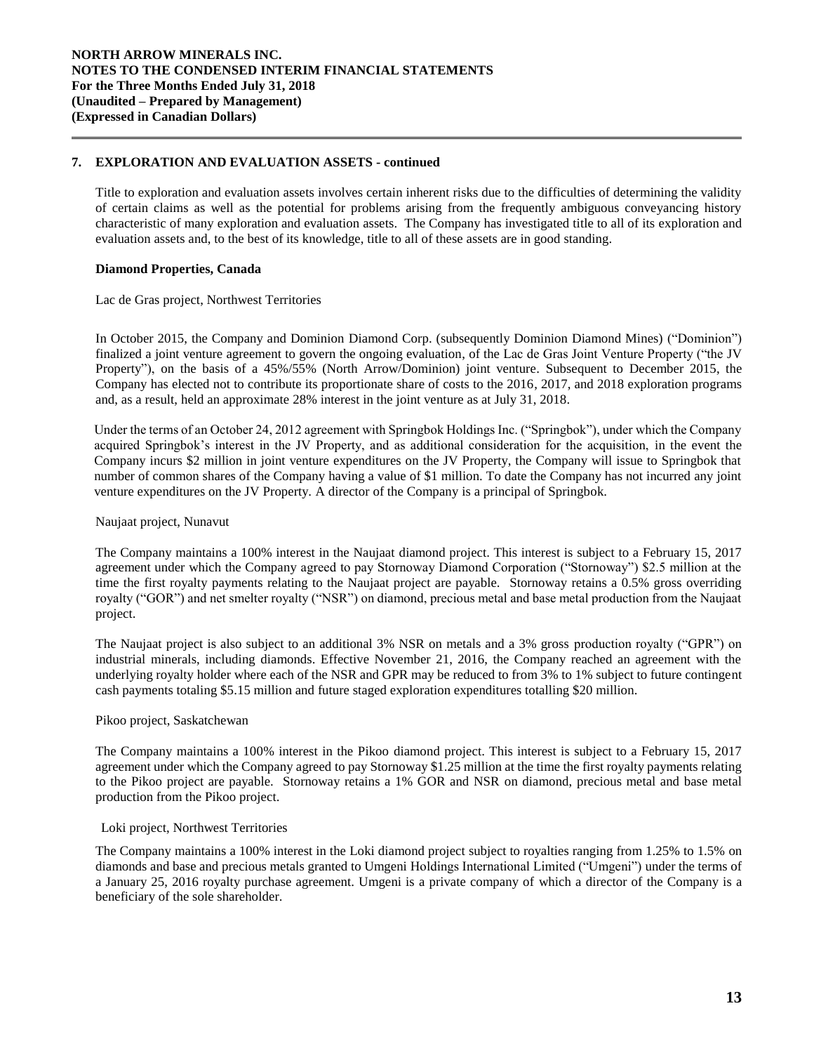## **7. EXPLORATION AND EVALUATION ASSETS - continued**

Title to exploration and evaluation assets involves certain inherent risks due to the difficulties of determining the validity of certain claims as well as the potential for problems arising from the frequently ambiguous conveyancing history characteristic of many exploration and evaluation assets. The Company has investigated title to all of its exploration and evaluation assets and, to the best of its knowledge, title to all of these assets are in good standing.

## **Diamond Properties, Canada**

Lac de Gras project, Northwest Territories

In October 2015, the Company and Dominion Diamond Corp. (subsequently Dominion Diamond Mines) ("Dominion") finalized a joint venture agreement to govern the ongoing evaluation, of the Lac de Gras Joint Venture Property ("the JV Property"), on the basis of a 45%/55% (North Arrow/Dominion) joint venture. Subsequent to December 2015, the Company has elected not to contribute its proportionate share of costs to the 2016, 2017, and 2018 exploration programs and, as a result, held an approximate 28% interest in the joint venture as at July 31, 2018.

Under the terms of an October 24, 2012 agreement with Springbok Holdings Inc. ("Springbok"), under which the Company acquired Springbok's interest in the JV Property, and as additional consideration for the acquisition, in the event the Company incurs \$2 million in joint venture expenditures on the JV Property, the Company will issue to Springbok that number of common shares of the Company having a value of \$1 million. To date the Company has not incurred any joint venture expenditures on the JV Property. A director of the Company is a principal of Springbok.

#### Naujaat project, Nunavut

The Company maintains a 100% interest in the Naujaat diamond project. This interest is subject to a February 15, 2017 agreement under which the Company agreed to pay Stornoway Diamond Corporation ("Stornoway") \$2.5 million at the time the first royalty payments relating to the Naujaat project are payable. Stornoway retains a 0.5% gross overriding royalty ("GOR") and net smelter royalty ("NSR") on diamond, precious metal and base metal production from the Naujaat project.

The Naujaat project is also subject to an additional 3% NSR on metals and a 3% gross production royalty ("GPR") on industrial minerals, including diamonds. Effective November 21, 2016, the Company reached an agreement with the underlying royalty holder where each of the NSR and GPR may be reduced to from 3% to 1% subject to future contingent cash payments totaling \$5.15 million and future staged exploration expenditures totalling \$20 million.

#### Pikoo project, Saskatchewan

The Company maintains a 100% interest in the Pikoo diamond project. This interest is subject to a February 15, 2017 agreement under which the Company agreed to pay Stornoway \$1.25 million at the time the first royalty payments relating to the Pikoo project are payable. Stornoway retains a 1% GOR and NSR on diamond, precious metal and base metal production from the Pikoo project.

#### Loki project, Northwest Territories

The Company maintains a 100% interest in the Loki diamond project subject to royalties ranging from 1.25% to 1.5% on diamonds and base and precious metals granted to Umgeni Holdings International Limited ("Umgeni") under the terms of a January 25, 2016 royalty purchase agreement. Umgeni is a private company of which a director of the Company is a beneficiary of the sole shareholder.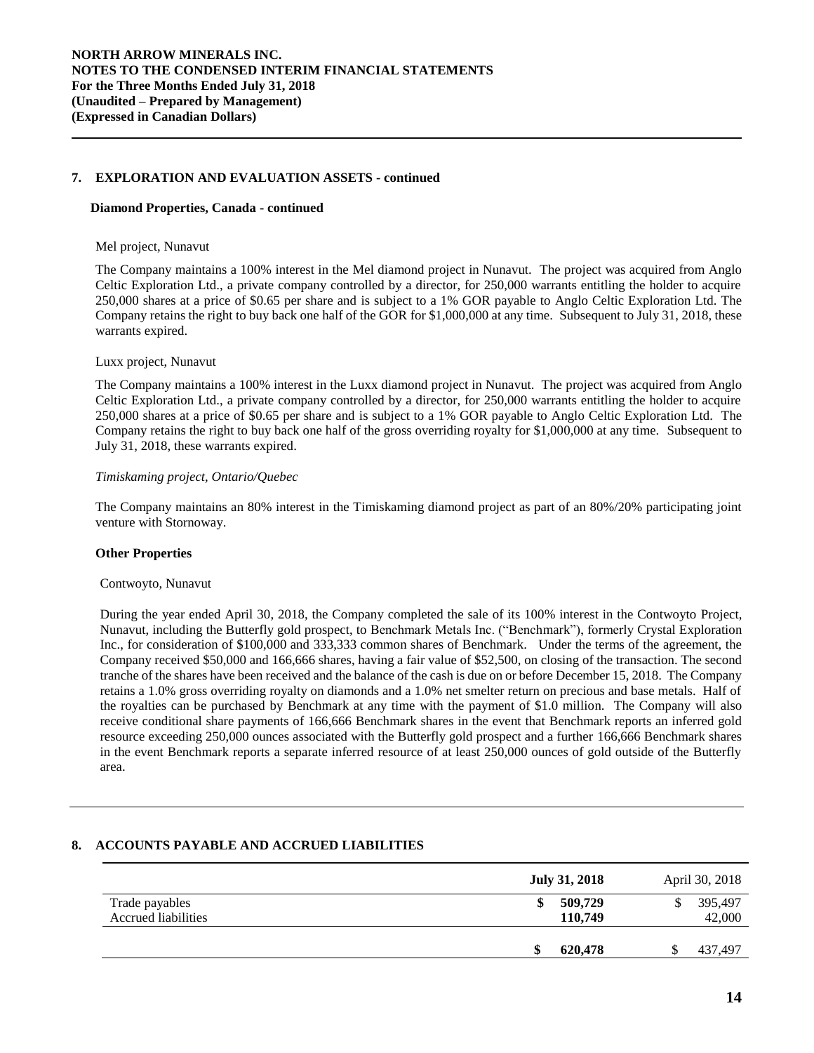## **7. EXPLORATION AND EVALUATION ASSETS - continued**

#### **Diamond Properties, Canada - continued**

#### Mel project, Nunavut

The Company maintains a 100% interest in the Mel diamond project in Nunavut. The project was acquired from Anglo Celtic Exploration Ltd., a private company controlled by a director, for 250,000 warrants entitling the holder to acquire 250,000 shares at a price of \$0.65 per share and is subject to a 1% GOR payable to Anglo Celtic Exploration Ltd. The Company retains the right to buy back one half of the GOR for \$1,000,000 at any time. Subsequent to July 31, 2018, these warrants expired.

#### Luxx project, Nunavut

The Company maintains a 100% interest in the Luxx diamond project in Nunavut. The project was acquired from Anglo Celtic Exploration Ltd., a private company controlled by a director, for 250,000 warrants entitling the holder to acquire 250,000 shares at a price of \$0.65 per share and is subject to a 1% GOR payable to Anglo Celtic Exploration Ltd. The Company retains the right to buy back one half of the gross overriding royalty for \$1,000,000 at any time. Subsequent to July 31, 2018, these warrants expired.

#### *Timiskaming project, Ontario/Quebec*

The Company maintains an 80% interest in the Timiskaming diamond project as part of an 80%/20% participating joint venture with Stornoway.

#### **Other Properties**

#### Contwoyto, Nunavut

During the year ended April 30, 2018, the Company completed the sale of its 100% interest in the Contwoyto Project, Nunavut, including the Butterfly gold prospect, to Benchmark Metals Inc. ("Benchmark"), formerly Crystal Exploration Inc., for consideration of \$100,000 and 333,333 common shares of Benchmark. Under the terms of the agreement, the Company received \$50,000 and 166,666 shares, having a fair value of \$52,500, on closing of the transaction. The second tranche of the shares have been received and the balance of the cash is due on or before December 15, 2018. The Company retains a 1.0% gross overriding royalty on diamonds and a 1.0% net smelter return on precious and base metals. Half of the royalties can be purchased by Benchmark at any time with the payment of \$1.0 million. The Company will also receive conditional share payments of 166,666 Benchmark shares in the event that Benchmark reports an inferred gold resource exceeding 250,000 ounces associated with the Butterfly gold prospect and a further 166,666 Benchmark shares in the event Benchmark reports a separate inferred resource of at least 250,000 ounces of gold outside of the Butterfly area.

#### **8. ACCOUNTS PAYABLE AND ACCRUED LIABILITIES**

|                                              | <b>July 31, 2018</b> | April 30, 2018    |
|----------------------------------------------|----------------------|-------------------|
| Trade payables<br><b>Accrued liabilities</b> | 509,729<br>110,749   | 395,497<br>42,000 |
|                                              | 620,478<br>\$        | 437,497           |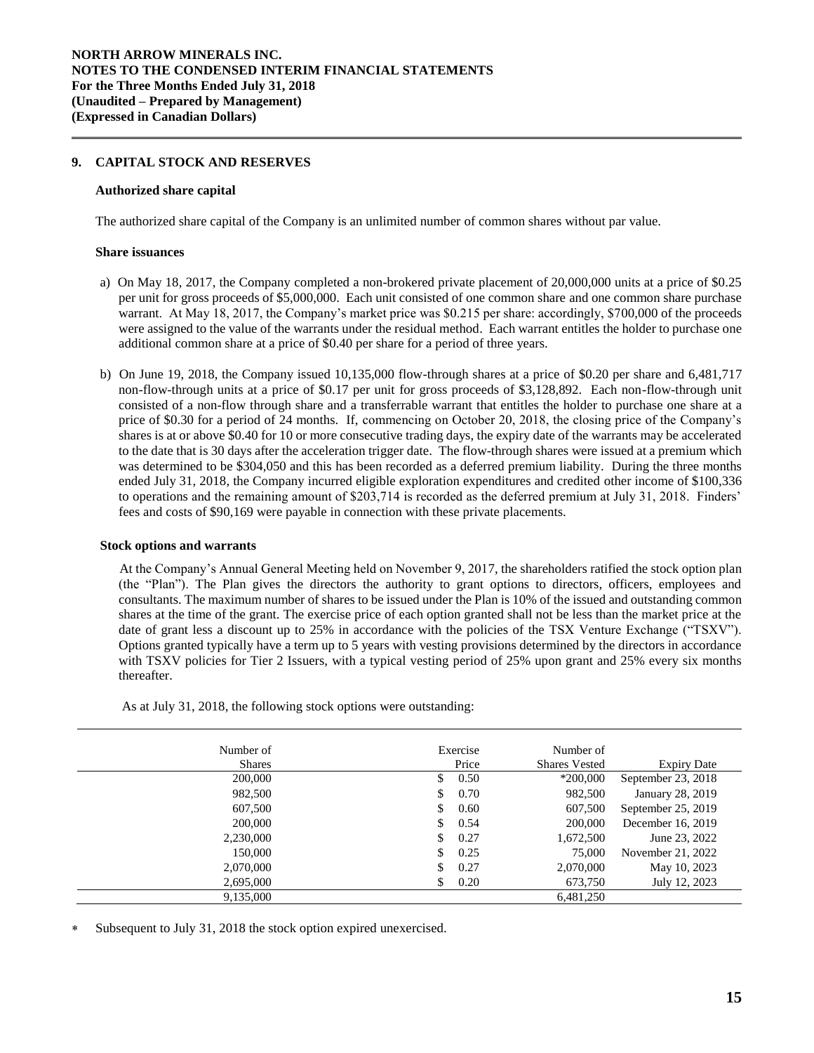## **9. CAPITAL STOCK AND RESERVES**

#### **Authorized share capital**

The authorized share capital of the Company is an unlimited number of common shares without par value.

#### **Share issuances**

- a) On May 18, 2017, the Company completed a non-brokered private placement of 20,000,000 units at a price of \$0.25 per unit for gross proceeds of \$5,000,000. Each unit consisted of one common share and one common share purchase warrant. At May 18, 2017, the Company's market price was \$0.215 per share: accordingly, \$700,000 of the proceeds were assigned to the value of the warrants under the residual method. Each warrant entitles the holder to purchase one additional common share at a price of \$0.40 per share for a period of three years.
- b) On June 19, 2018, the Company issued 10,135,000 flow-through shares at a price of \$0.20 per share and 6,481,717 non-flow-through units at a price of \$0.17 per unit for gross proceeds of \$3,128,892. Each non-flow-through unit consisted of a non-flow through share and a transferrable warrant that entitles the holder to purchase one share at a price of \$0.30 for a period of 24 months. If, commencing on October 20, 2018, the closing price of the Company's shares is at or above \$0.40 for 10 or more consecutive trading days, the expiry date of the warrants may be accelerated to the date that is 30 days after the acceleration trigger date. The flow-through shares were issued at a premium which was determined to be \$304,050 and this has been recorded as a deferred premium liability. During the three months ended July 31, 2018, the Company incurred eligible exploration expenditures and credited other income of \$100,336 to operations and the remaining amount of \$203,714 is recorded as the deferred premium at July 31, 2018. Finders' fees and costs of \$90,169 were payable in connection with these private placements.

#### **Stock options and warrants**

At the Company's Annual General Meeting held on November 9, 2017, the shareholders ratified the stock option plan (the "Plan"). The Plan gives the directors the authority to grant options to directors, officers, employees and consultants. The maximum number of shares to be issued under the Plan is 10% of the issued and outstanding common shares at the time of the grant. The exercise price of each option granted shall not be less than the market price at the date of grant less a discount up to 25% in accordance with the policies of the TSX Venture Exchange ("TSXV"). Options granted typically have a term up to 5 years with vesting provisions determined by the directors in accordance with TSXV policies for Tier 2 Issuers, with a typical vesting period of 25% upon grant and 25% every six months thereafter.

| Number of     |     | Exercise | Number of            |                    |
|---------------|-----|----------|----------------------|--------------------|
| <b>Shares</b> |     | Price    | <b>Shares Vested</b> | <b>Expiry Date</b> |
| 200,000       | S.  | 0.50     | $*200,000$           | September 23, 2018 |
| 982,500       |     | 0.70     | 982,500              | January 28, 2019   |
| 607,500       | \$  | 0.60     | 607,500              | September 25, 2019 |
| 200,000       | \$. | 0.54     | 200,000              | December 16, 2019  |
| 2,230,000     | \$. | 0.27     | 1,672,500            | June 23, 2022      |
| 150,000       |     | 0.25     | 75,000               | November 21, 2022  |
| 2,070,000     |     | 0.27     | 2,070,000            | May 10, 2023       |
| 2,695,000     | \$. | 0.20     | 673,750              | July 12, 2023      |
| 9,135,000     |     |          | 6,481,250            |                    |

As at July 31, 2018, the following stock options were outstanding:

Subsequent to July 31, 2018 the stock option expired unexercised.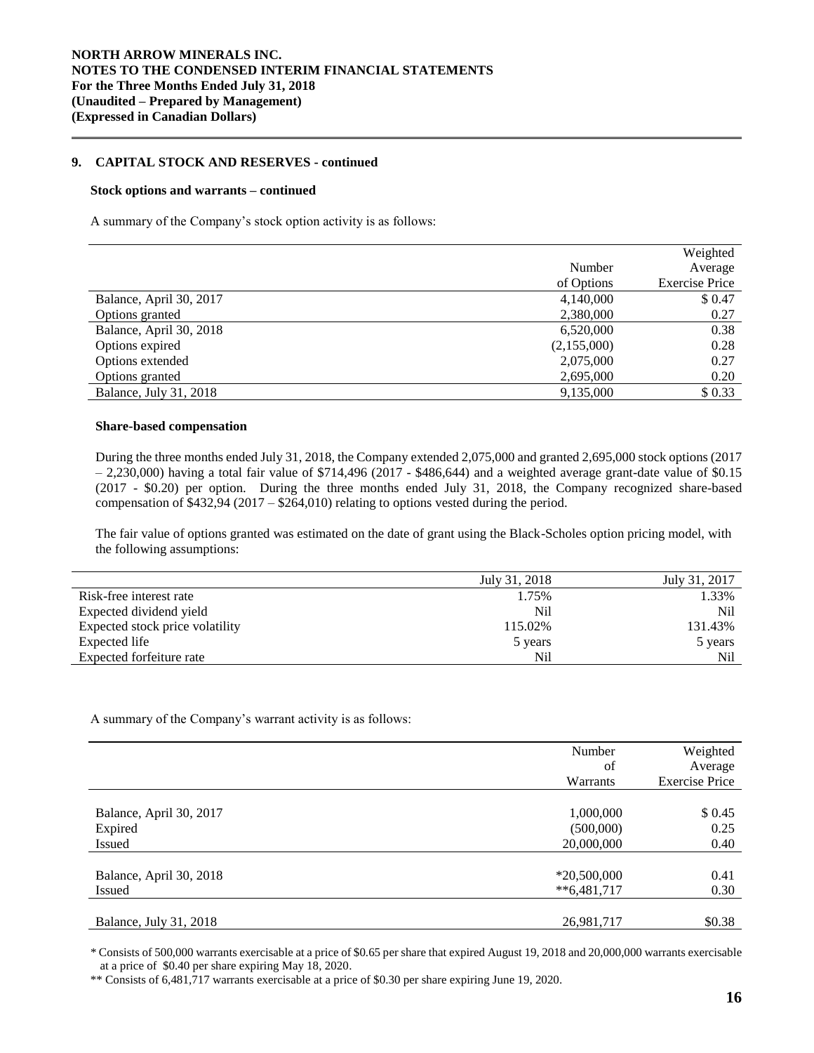## **9. CAPITAL STOCK AND RESERVES - continued**

#### **Stock options and warrants – continued**

A summary of the Company's stock option activity is as follows:

|                         |             | Weighted              |
|-------------------------|-------------|-----------------------|
|                         | Number      | Average               |
|                         | of Options  | <b>Exercise Price</b> |
| Balance, April 30, 2017 | 4,140,000   | \$0.47                |
| Options granted         | 2,380,000   | 0.27                  |
| Balance, April 30, 2018 | 6,520,000   | 0.38                  |
| Options expired         | (2,155,000) | 0.28                  |
| Options extended        | 2,075,000   | 0.27                  |
| Options granted         | 2,695,000   | 0.20                  |
| Balance, July 31, 2018  | 9,135,000   | \$0.33                |

#### **Share-based compensation**

During the three months ended July 31, 2018, the Company extended 2,075,000 and granted 2,695,000 stock options (2017  $-2,230,000$ ) having a total fair value of \$714,496 (2017 - \$486,644) and a weighted average grant-date value of \$0.15 (2017 - \$0.20) per option. During the three months ended July 31, 2018, the Company recognized share-based compensation of \$432,94 (2017 – \$264,010) relating to options vested during the period.

The fair value of options granted was estimated on the date of grant using the Black-Scholes option pricing model, with the following assumptions:

|                                 | July 31, 2018 | July 31, 2017 |
|---------------------------------|---------------|---------------|
| Risk-free interest rate         | 1.75%         | 1.33%         |
| Expected dividend yield         | Nil           | Nil           |
| Expected stock price volatility | 115.02%       | 131.43%       |
| Expected life                   | 5 years       | 5 years       |
| Expected forfeiture rate        | Nil           | Nil           |

A summary of the Company's warrant activity is as follows:

|                         | Number<br>of<br>Warrants | Weighted<br>Average<br><b>Exercise Price</b> |
|-------------------------|--------------------------|----------------------------------------------|
| Balance, April 30, 2017 | 1,000,000                | \$0.45                                       |
| Expired                 | (500,000)                | 0.25                                         |
| Issued                  | 20,000,000               | 0.40                                         |
| Balance, April 30, 2018 | $*20,500,000$            | 0.41                                         |
| Issued                  | $**6,481,717$            | 0.30                                         |
| Balance, July 31, 2018  | 26,981,717               | \$0.38                                       |

\* Consists of 500,000 warrants exercisable at a price of \$0.65 per share that expired August 19, 2018 and 20,000,000 warrants exercisable at a price of \$0.40 per share expiring May 18, 2020.

\*\* Consists of 6,481,717 warrants exercisable at a price of \$0.30 per share expiring June 19, 2020.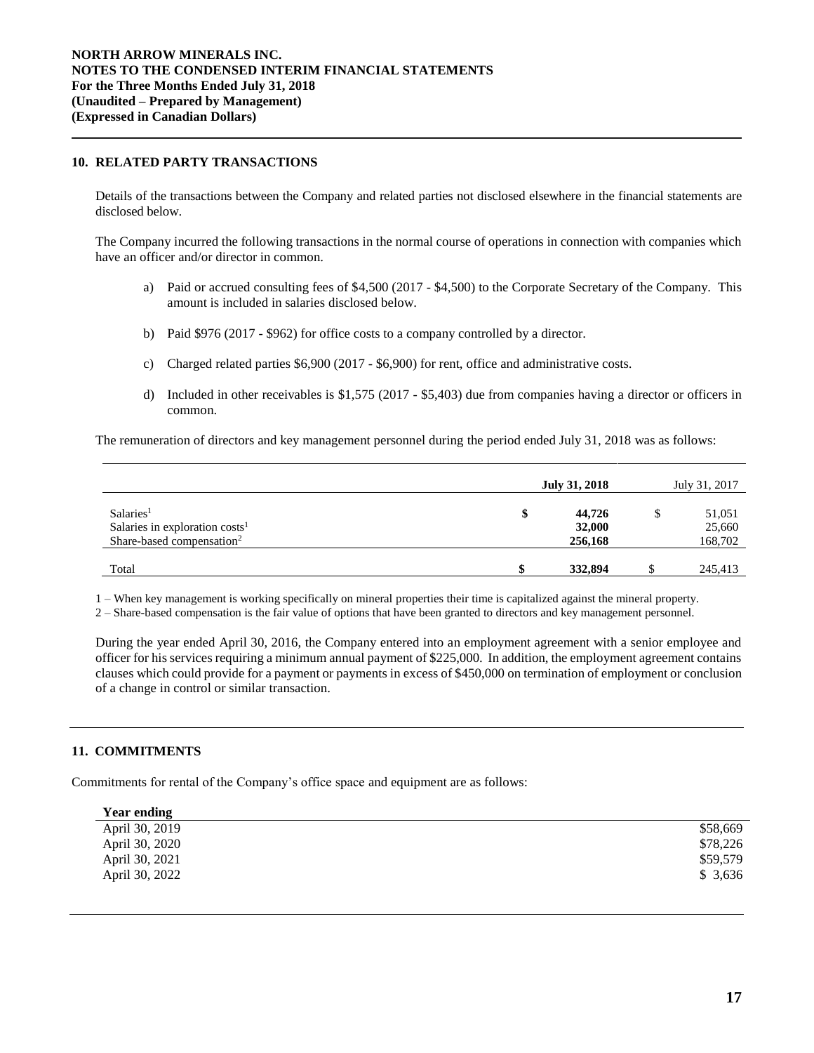## **10. RELATED PARTY TRANSACTIONS**

Details of the transactions between the Company and related parties not disclosed elsewhere in the financial statements are disclosed below.

The Company incurred the following transactions in the normal course of operations in connection with companies which have an officer and/or director in common.

- a) Paid or accrued consulting fees of \$4,500 (2017 \$4,500) to the Corporate Secretary of the Company. This amount is included in salaries disclosed below.
- b) Paid \$976 (2017 \$962) for office costs to a company controlled by a director.
- c) Charged related parties \$6,900 (2017 \$6,900) for rent, office and administrative costs.
- d) Included in other receivables is \$1,575 (2017 \$5,403) due from companies having a director or officers in common.

The remuneration of directors and key management personnel during the period ended July 31, 2018 was as follows:

|                                                                                                    | July 31, 2018               | July 31, 2017               |
|----------------------------------------------------------------------------------------------------|-----------------------------|-----------------------------|
| Salaries <sup>1</sup><br>Salaries in exploration $costs1$<br>Share-based compensation <sup>2</sup> | 44,726<br>32,000<br>256,168 | 51,051<br>25,660<br>168,702 |
| Total                                                                                              | 332,894                     | 245,413                     |

1 – When key management is working specifically on mineral properties their time is capitalized against the mineral property.

2 – Share-based compensation is the fair value of options that have been granted to directors and key management personnel.

During the year ended April 30, 2016, the Company entered into an employment agreement with a senior employee and officer for his services requiring a minimum annual payment of \$225,000. In addition, the employment agreement contains clauses which could provide for a payment or payments in excess of \$450,000 on termination of employment or conclusion of a change in control or similar transaction.

## **11. COMMITMENTS**

Commitments for rental of the Company's office space and equipment are as follows:

| Year ending    |          |
|----------------|----------|
| April 30, 2019 | \$58,669 |
| April 30, 2020 | \$78,226 |
| April 30, 2021 | \$59,579 |
| April 30, 2022 | \$3,636  |
|                |          |